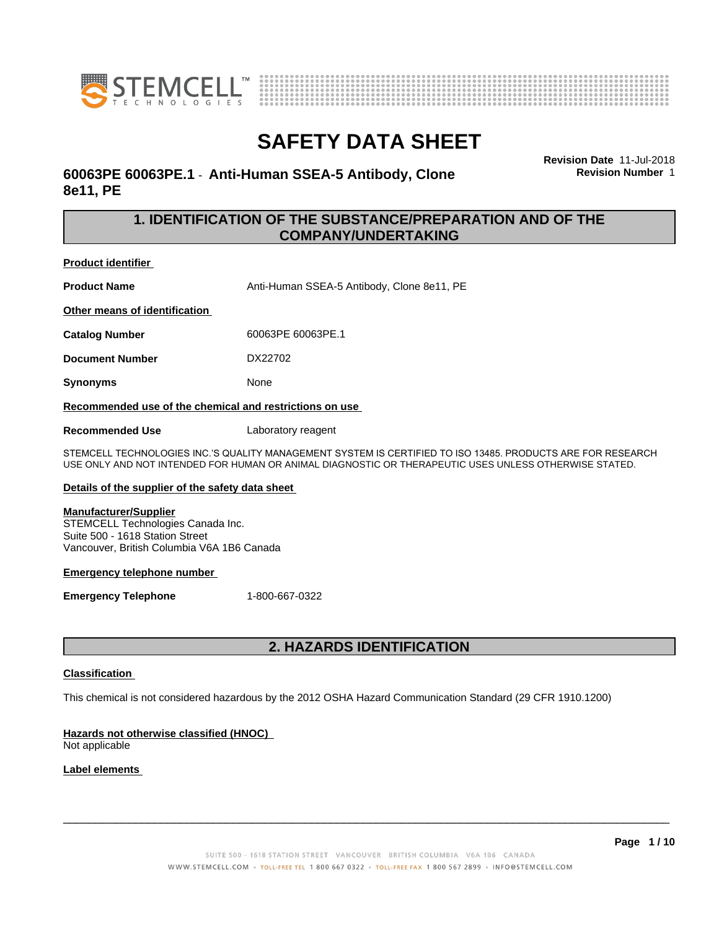



# **60063PE 60063PE.1** - **Anti-Human SSEA-5 Antibody, Clone 8e11, PE**

**Revision Date** 11-Jul-2018 **Revision Number** 1

# **1. IDENTIFICATION OF THE SUBSTANCE/PREPARATION AND OF THE COMPANY/UNDERTAKING**

**Product identifier**

**Product Name** Anti-Human SSEA-5 Antibody, Clone 8e11, PE **Other means of identification**

**Catalog Number** 60063PE 60063PE.1

**Document Number** DX22702

**Synonyms** None

**Recommended use of the chemical and restrictions on use**

**Recommended Use** Laboratory reagent

STEMCELL TECHNOLOGIES INC.'S QUALITY MANAGEMENT SYSTEM IS CERTIFIED TO ISO 13485. PRODUCTS ARE FOR RESEARCH USE ONLY AND NOT INTENDED FOR HUMAN OR ANIMAL DIAGNOSTIC OR THERAPEUTIC USES UNLESS OTHERWISE STATED.

### **Details of the supplier of the safety data sheet**

#### **Manufacturer/Supplier**

STEMCELL Technologies Canada Inc. Suite 500 - 1618 Station Street Vancouver, British Columbia V6A 1B6 Canada

#### **Emergency telephone number**

**Emergency Telephone** 1-800-667-0322

# **2. HAZARDS IDENTIFICATION**

### **Classification**

This chemical is not considered hazardous by the 2012 OSHA Hazard Communication Standard (29 CFR 1910.1200)

### **Hazards not otherwise classified (HNOC)**

Not applicable

### **Label elements**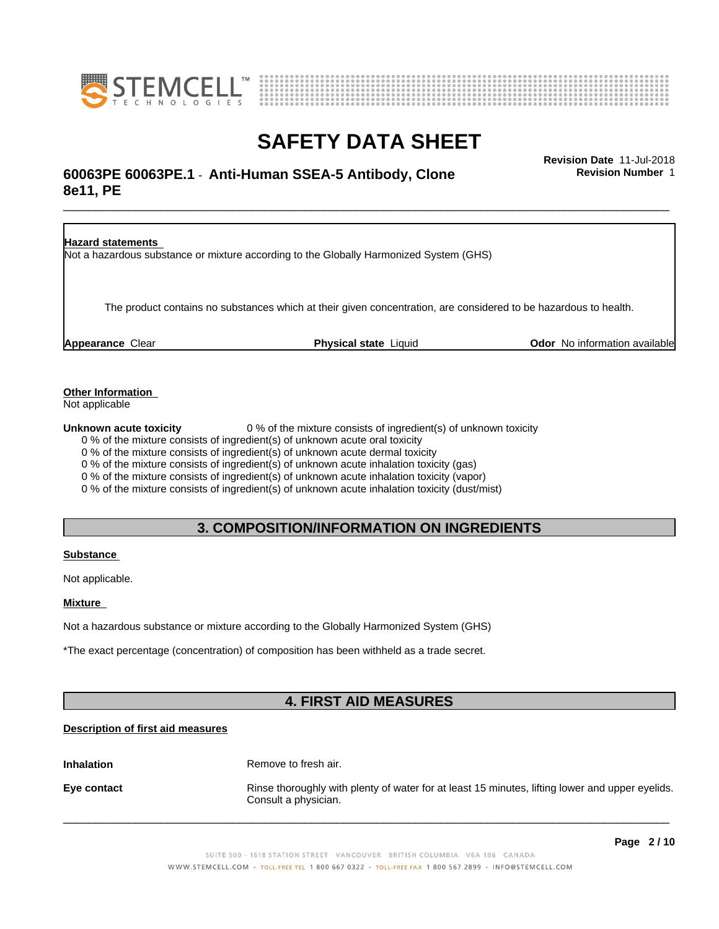



# \_\_\_\_\_\_\_\_\_\_\_\_\_\_\_\_\_\_\_\_\_\_\_\_\_\_\_\_\_\_\_\_\_\_\_\_\_\_\_\_\_\_\_\_\_\_\_\_\_\_\_\_\_\_\_\_\_\_\_\_\_\_\_\_\_\_\_\_\_\_\_\_\_\_\_\_\_\_\_\_\_\_\_\_\_\_\_\_\_\_\_\_\_ **Revision Date** 11-Jul-2018 **60063PE 60063PE.1** - **Anti-Human SSEA-5 Antibody, Clone 8e11, PE**

**Revision Number** 1

**Hazard statements** Not a hazardous substance or mixture according to the Globally Harmonized System (GHS) The product contains no substances which at their given concentration, are considered to be hazardous to health. **Appearance** Clear **Physical state** Liquid **Odor** No information available

**Other Information**

Not applicable

**Unknown acute toxicity** 0 % of the mixture consists of ingredient(s) of unknown toxicity

0 % of the mixture consists of ingredient(s) of unknown acute oral toxicity

0 % of the mixture consists of ingredient(s) of unknown acute dermal toxicity

0 % of the mixture consists of ingredient(s) of unknown acute inhalation toxicity (gas)

0 % of the mixture consists of ingredient(s) of unknown acute inhalation toxicity (vapor)

0 % of the mixture consists of ingredient(s) of unknown acute inhalation toxicity (dust/mist)

# **3. COMPOSITION/INFORMATION ON INGREDIENTS**

### **Substance**

Not applicable.

### **Mixture**

Not a hazardous substance or mixture according to the Globally Harmonized System (GHS)

\*The exact percentage (concentration) of composition has been withheld as a trade secret.

# **4. FIRST AID MEASURES**

### **Description of first aid measures**

**Inhalation** Remove to fresh air.

**Eye contact Rinse thoroughly with plenty of water for at least 15 minutes, lifting lower and upper eyelids.** Consult a physician.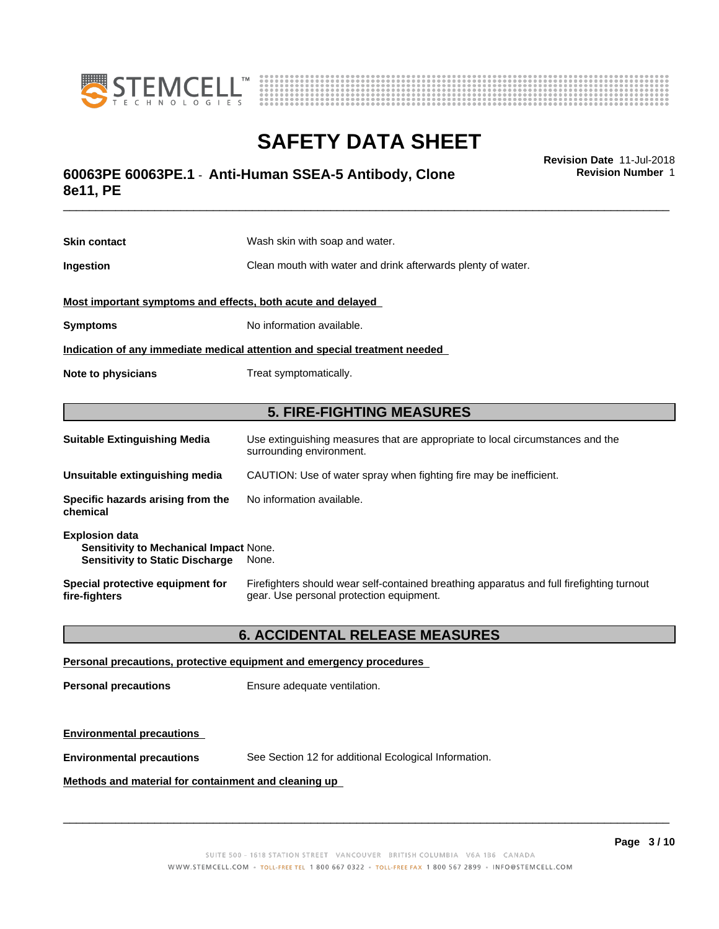



# \_\_\_\_\_\_\_\_\_\_\_\_\_\_\_\_\_\_\_\_\_\_\_\_\_\_\_\_\_\_\_\_\_\_\_\_\_\_\_\_\_\_\_\_\_\_\_\_\_\_\_\_\_\_\_\_\_\_\_\_\_\_\_\_\_\_\_\_\_\_\_\_\_\_\_\_\_\_\_\_\_\_\_\_\_\_\_\_\_\_\_\_\_ **Revision Date** 11-Jul-2018 **60063PE 60063PE.1** - **Anti-Human SSEA-5 Antibody, Clone 8e11, PE**

**Skin contact** Wash skin with soap and water. **Ingestion Clean mouth with water and drink afterwards plenty of water. Most important symptoms and effects, both acute and delayed Symptoms** No information available. **Indication of any immediate medical attention and special treatment needed Note to physicians** Treat symptomatically. **5. FIRE-FIGHTING MEASURES Suitable Extinguishing Media** Use extinguishing measures that are appropriate to local circumstances and the surrounding environment. **Unsuitable extinguishing media** CAUTION: Use of water spray when fighting fire may be inefficient. **Specific hazards arising from the chemical** No information available. **Explosion data Sensitivity to Mechanical Impact** None.

| Special protective equipment for | Firefighters should wear self-contained breathing apparatus and full firefighting turnout |
|----------------------------------|-------------------------------------------------------------------------------------------|
| fire-fighters                    | gear. Use personal protection equipment.                                                  |

## **6. ACCIDENTAL RELEASE MEASURES**

#### **Personal precautions, protective equipment and emergency procedures**

**Personal precautions** Ensure adequate ventilation.

**Sensitivity to Static Discharge** None.

### **Environmental precautions**

**Environmental precautions** See Section 12 for additional Ecological Information.

#### **Methods and material for containment and cleaning up**

 $\overline{\phantom{a}}$  ,  $\overline{\phantom{a}}$  ,  $\overline{\phantom{a}}$  ,  $\overline{\phantom{a}}$  ,  $\overline{\phantom{a}}$  ,  $\overline{\phantom{a}}$  ,  $\overline{\phantom{a}}$  ,  $\overline{\phantom{a}}$  ,  $\overline{\phantom{a}}$  ,  $\overline{\phantom{a}}$  ,  $\overline{\phantom{a}}$  ,  $\overline{\phantom{a}}$  ,  $\overline{\phantom{a}}$  ,  $\overline{\phantom{a}}$  ,  $\overline{\phantom{a}}$  ,  $\overline{\phantom{a}}$ 

**Revision Number** 1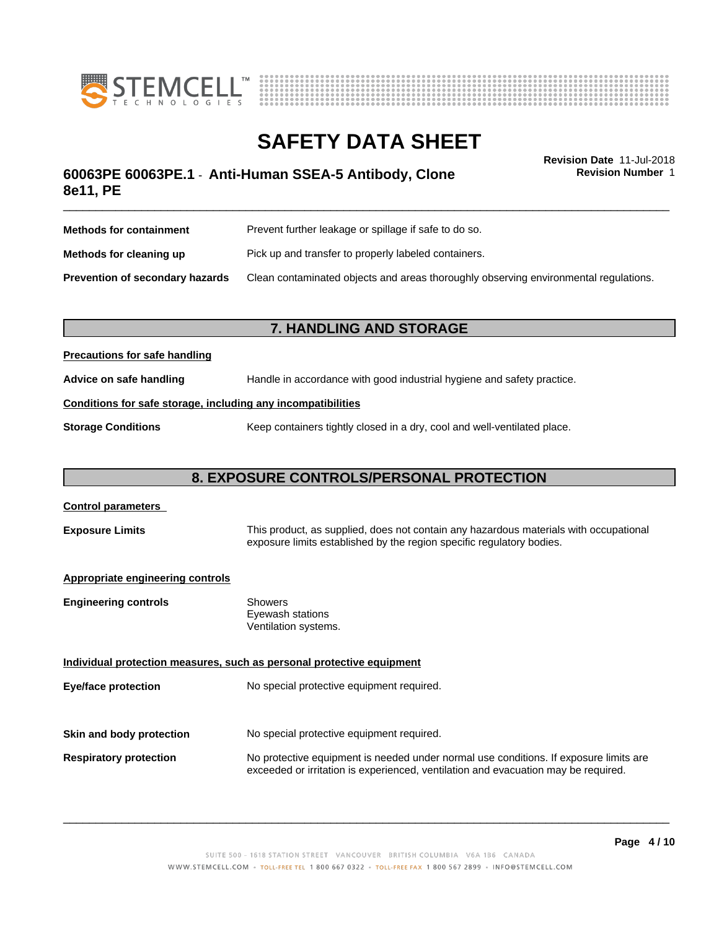



# **SAFETY DATA SHEET**<br>Revision Date 11-Jul-2018

**Revision Number** 1

# \_\_\_\_\_\_\_\_\_\_\_\_\_\_\_\_\_\_\_\_\_\_\_\_\_\_\_\_\_\_\_\_\_\_\_\_\_\_\_\_\_\_\_\_\_\_\_\_\_\_\_\_\_\_\_\_\_\_\_\_\_\_\_\_\_\_\_\_\_\_\_\_\_\_\_\_\_\_\_\_\_\_\_\_\_\_\_\_\_\_\_\_\_ **Revision Date** 11-Jul-2018 **60063PE 60063PE.1** - **Anti-Human SSEA-5 Antibody, Clone 8e11, PE**

| <b>Methods for containment</b>         | Prevent further leakage or spillage if safe to do so.                                |  |
|----------------------------------------|--------------------------------------------------------------------------------------|--|
| Methods for cleaning up                | Pick up and transfer to properly labeled containers.                                 |  |
| <b>Prevention of secondary hazards</b> | Clean contaminated objects and areas thoroughly observing environmental regulations. |  |

# **7. HANDLING AND STORAGE**

### **Precautions for safe handling**

**Advice on safe handling** Handle in accordance with good industrial hygiene and safety practice.

### **Conditions for safe storage, including any incompatibilities**

**Storage Conditions** Keep containers tightly closed in a dry, cool and well-ventilated place.

# **8. EXPOSURE CONTROLS/PERSONAL PROTECTION**

# **Control parameters Exposure Limits** This product, as supplied, does not contain any hazardous materials with occupational exposure limits established by the region specific regulatory bodies. **Appropriate engineering controls Engineering controls** Showers Eyewash stations Ventilation systems. **Individual protection measures, such as personal protective equipment Eye/face protection** No special protective equipment required. **Skin and body protection** No special protective equipment required. **Respiratory protection** No protective equipment is needed under normal use conditions. If exposure limits are exceeded or irritation is experienced, ventilation and evacuation may be required.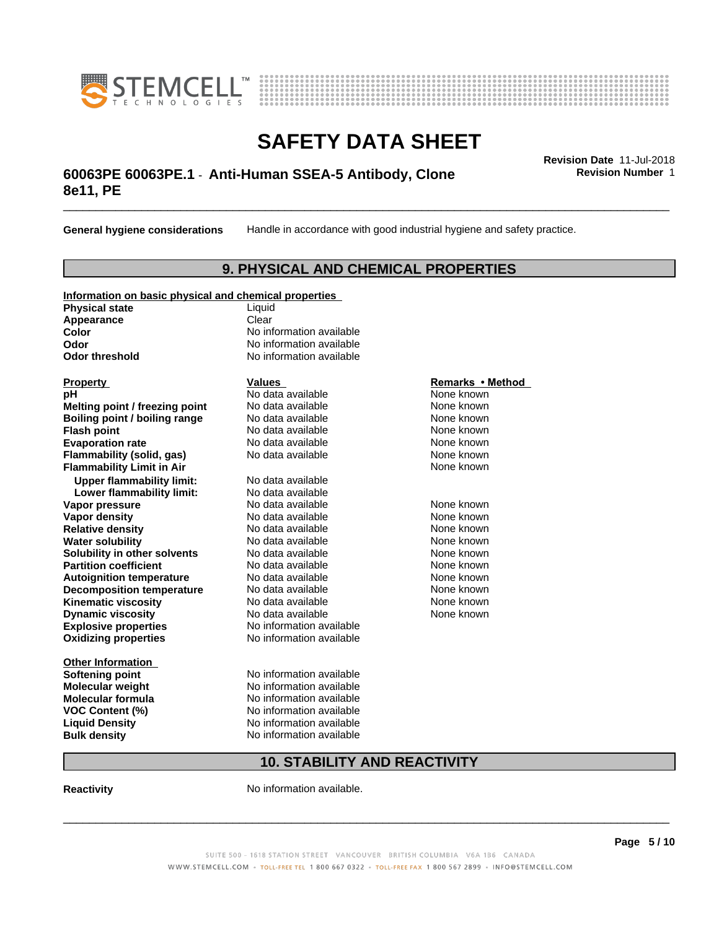



# \_\_\_\_\_\_\_\_\_\_\_\_\_\_\_\_\_\_\_\_\_\_\_\_\_\_\_\_\_\_\_\_\_\_\_\_\_\_\_\_\_\_\_\_\_\_\_\_\_\_\_\_\_\_\_\_\_\_\_\_\_\_\_\_\_\_\_\_\_\_\_\_\_\_\_\_\_\_\_\_\_\_\_\_\_\_\_\_\_\_\_\_\_ **Revision Date** 11-Jul-2018 **60063PE 60063PE.1** - **Anti-Human SSEA-5 Antibody, Clone 8e11, PE**

**General hygiene considerations** Handle in accordance with good industrial hygiene and safety practice.

# **9. PHYSICAL AND CHEMICAL PROPERTIES**

### **Information on basic physical and chemical properties**

**Physical state** Liquid **Appearance** Clear<br> **Color** No inf

**Explosive properties**<br> **Oxidizing properties**<br>
No information available **Oxidizing properties Property Remarks •Method Property Remarks •Method pH** No data available None known<br> **Melting point / freezing point** No data available None known **Melting point / freezing point** No data available None known<br> **Boiling point / boiling range** No data available None known **Boiling point / boiling range Flash point No data available None known Evaporation rate Cone Cone Access Mode to Access 10 and 7 and 7 and 7 and 7 and 7 and 7 and 7 and 7 and 7 and 7 and 7 and 7 and 7 and 7 and 7 and 7 and 7 and 7 and 7 and 7 and 7 and 7 and 7 and 7 and 7 and 7 and 7 and 7 Flammability (solid, gas)** No data available None known **Flammability Limit in Air None known None known Upper flammability limit:** No data available **Lower flammability limit:** No data available **Vapor pressure No data available None known Vapor density**<br> **Relative density**<br>
No data available None Known<br>
None known **Relative density No data available and the Shown None known**<br> **Water solubility No data available None known None known Water solubility Solubility in other solvents** No data available **None known**<br> **Partition coefficient** No data available None known<br>
None known **Partition coefficient**<br> **Autoignition temperature**<br>
No data available None None known<br>
None known **Autoignition temperature No data available None known**<br> **Decomposition temperature** No data available **None known**<br>
None known **Decomposition temperature** No data available<br> **Kinematic viscosity** No data available **Kinematic viscosity No data available None known**<br> **Notata available None known**<br>
Notata available **None known Dynamic viscosity No data available None known** 

**Other Information Softening point** No information available **VOC** Content (%)

**No information available Odor** No information available **Odor threshold** No information available

**Molecular weight** No information available **Molecular formula No information available**<br>**VOC Content (%)** No information available **Liquid Density** No information available **Bulk density** No information available

# **10. STABILITY AND REACTIVITY**

**Reactivity No information available.** 

SUITE 500 - 1618 STATION STREET VANCOUVER BRITISH COLUMBIA V6A 1B6 CANADA WWW.STEMCELL.COM · TOLL-FREE TEL 1 800 667 0322 · TOLL-FREE FAX 1 800 567 2899 · INFO@STEMCELL.COM

 $\overline{\phantom{a}}$  ,  $\overline{\phantom{a}}$  ,  $\overline{\phantom{a}}$  ,  $\overline{\phantom{a}}$  ,  $\overline{\phantom{a}}$  ,  $\overline{\phantom{a}}$  ,  $\overline{\phantom{a}}$  ,  $\overline{\phantom{a}}$  ,  $\overline{\phantom{a}}$  ,  $\overline{\phantom{a}}$  ,  $\overline{\phantom{a}}$  ,  $\overline{\phantom{a}}$  ,  $\overline{\phantom{a}}$  ,  $\overline{\phantom{a}}$  ,  $\overline{\phantom{a}}$  ,  $\overline{\phantom{a}}$ 

**Revision Number** 1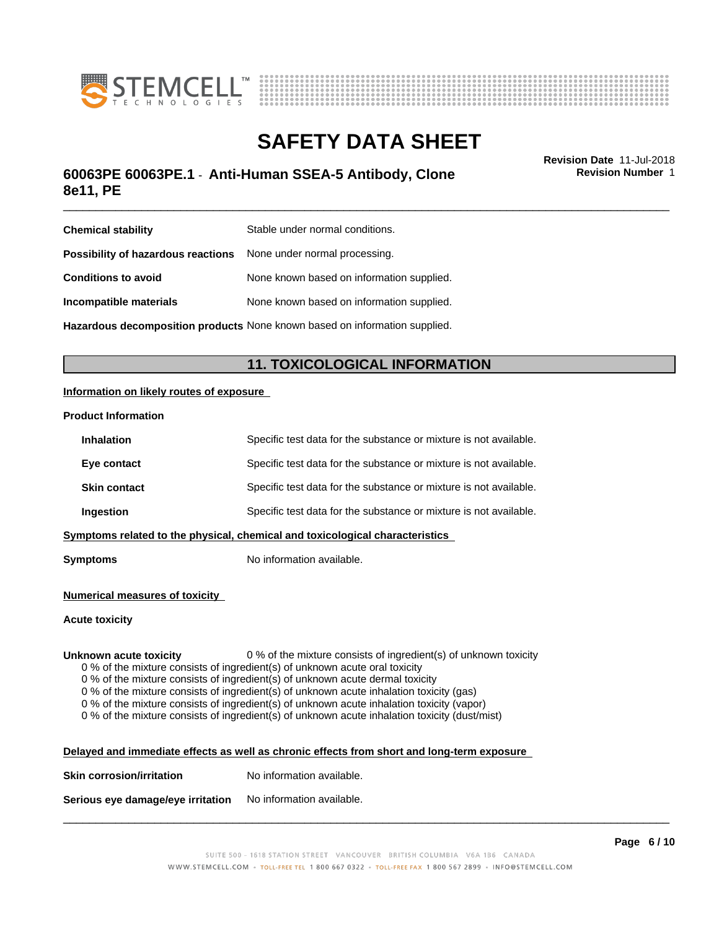



# \_\_\_\_\_\_\_\_\_\_\_\_\_\_\_\_\_\_\_\_\_\_\_\_\_\_\_\_\_\_\_\_\_\_\_\_\_\_\_\_\_\_\_\_\_\_\_\_\_\_\_\_\_\_\_\_\_\_\_\_\_\_\_\_\_\_\_\_\_\_\_\_\_\_\_\_\_\_\_\_\_\_\_\_\_\_\_\_\_\_\_\_\_ **Revision Date** 11-Jul-2018 **60063PE 60063PE.1** - **Anti-Human SSEA-5 Antibody, Clone 8e11, PE**

**Revision Number** 1

| <b>Chemical stability</b>                                               | Stable under normal conditions.                                                   |
|-------------------------------------------------------------------------|-----------------------------------------------------------------------------------|
| <b>Possibility of hazardous reactions</b> None under normal processing. |                                                                                   |
| <b>Conditions to avoid</b>                                              | None known based on information supplied.                                         |
| Incompatible materials                                                  | None known based on information supplied.                                         |
|                                                                         | <b>Hazardous decomposition products</b> None known based on information supplied. |

# **11. TOXICOLOGICAL INFORMATION**

### **Information on likely routes of exposure**

#### **Product Information**

| <b>Inhalation</b>   | Specific test data for the substance or mixture is not available.            |
|---------------------|------------------------------------------------------------------------------|
| Eye contact         | Specific test data for the substance or mixture is not available.            |
| <b>Skin contact</b> | Specific test data for the substance or mixture is not available.            |
| Ingestion           | Specific test data for the substance or mixture is not available.            |
|                     | Symptoms related to the physical, chemical and toxicological characteristics |

**Symptoms** No information available.

#### **Numerical measures of toxicity**

#### **Acute toxicity**

**Unknown acute toxicity** 0 % of the mixture consists of ingredient(s) of unknown toxicity

0 % of the mixture consists of ingredient(s) of unknown acute oral toxicity

 $0$  % of the mixture consists of ingredient(s) of unknown acute dermal toxicity

0 % of the mixture consists of ingredient(s) of unknown acute inhalation toxicity (gas)

0 % of the mixture consists of ingredient(s) of unknown acute inhalation toxicity (vapor)

0 % of the mixture consists of ingredient(s) of unknown acute inhalation toxicity (dust/mist)

| Delayed and immediate effects as well as chronic effects from short and long-term exposure |  |
|--------------------------------------------------------------------------------------------|--|
|                                                                                            |  |

| <b>Skin corrosion/irritation</b> | No information available. |
|----------------------------------|---------------------------|
|                                  |                           |

**Serious eye damage/eye irritation** No information available.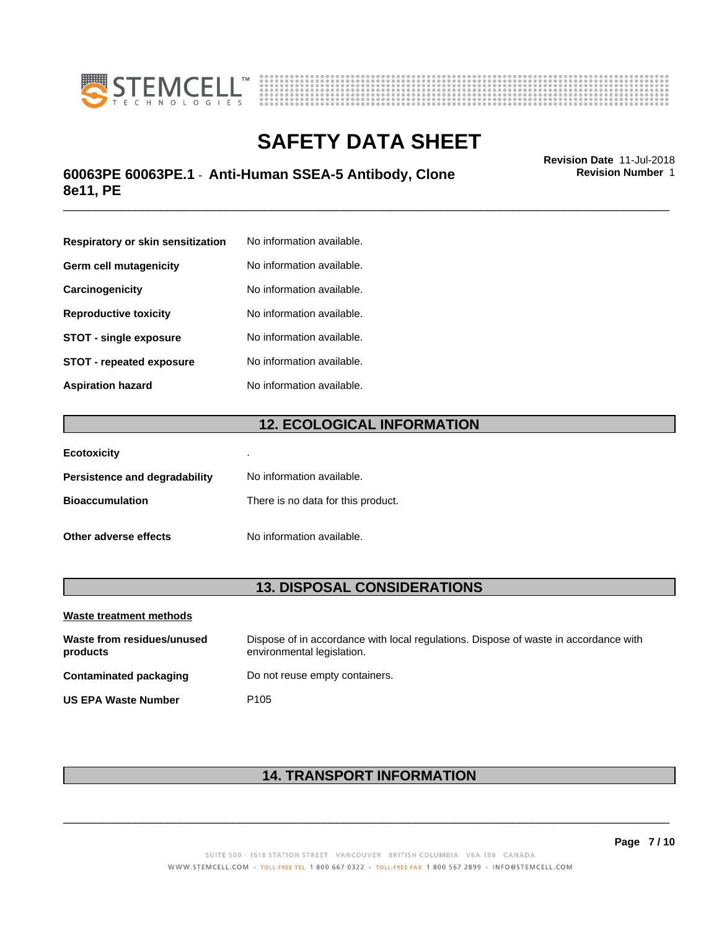



# \_\_\_\_\_\_\_\_\_\_\_\_\_\_\_\_\_\_\_\_\_\_\_\_\_\_\_\_\_\_\_\_\_\_\_\_\_\_\_\_\_\_\_\_\_\_\_\_\_\_\_\_\_\_\_\_\_\_\_\_\_\_\_\_\_\_\_\_\_\_\_\_\_\_\_\_\_\_\_\_\_\_\_\_\_\_\_\_\_\_\_\_\_ **Revision Date** 11-Jul-2018 **60063PE 60063PE.1** - **Anti-Human SSEA-5 Antibody, Clone 8e11, PE**

**Respiratory or skin sensitization** No information available. **Germ cell mutagenicity** No information available. **Carcinogenicity** No information available. **Reproductive toxicity** No information available. **STOT** - **single exposure** No information available. **STOT** - **repeated exposure** No information available. **Aspiration hazard** No information available.

# **12. ECOLOGICAL INFORMATION**

| <b>Ecotoxicity</b>            | ٠                                  |
|-------------------------------|------------------------------------|
| Persistence and degradability | No information available.          |
| <b>Bioaccumulation</b>        | There is no data for this product. |
| Other adverse effects         | No information available.          |

# **13. DISPOSAL CONSIDERATIONS**

| Waste treatment methods                |                                                                                                                    |
|----------------------------------------|--------------------------------------------------------------------------------------------------------------------|
| Waste from residues/unused<br>products | Dispose of in accordance with local regulations. Dispose of waste in accordance with<br>environmental legislation. |
| Contaminated packaging                 | Do not reuse empty containers.                                                                                     |
| <b>US EPA Waste Number</b>             | P <sub>105</sub>                                                                                                   |

# **14. TRANSPORT INFORMATION**

 $\overline{\phantom{a}}$  ,  $\overline{\phantom{a}}$  ,  $\overline{\phantom{a}}$  ,  $\overline{\phantom{a}}$  ,  $\overline{\phantom{a}}$  ,  $\overline{\phantom{a}}$  ,  $\overline{\phantom{a}}$  ,  $\overline{\phantom{a}}$  ,  $\overline{\phantom{a}}$  ,  $\overline{\phantom{a}}$  ,  $\overline{\phantom{a}}$  ,  $\overline{\phantom{a}}$  ,  $\overline{\phantom{a}}$  ,  $\overline{\phantom{a}}$  ,  $\overline{\phantom{a}}$  ,  $\overline{\phantom{a}}$ 

**Revision Number** 1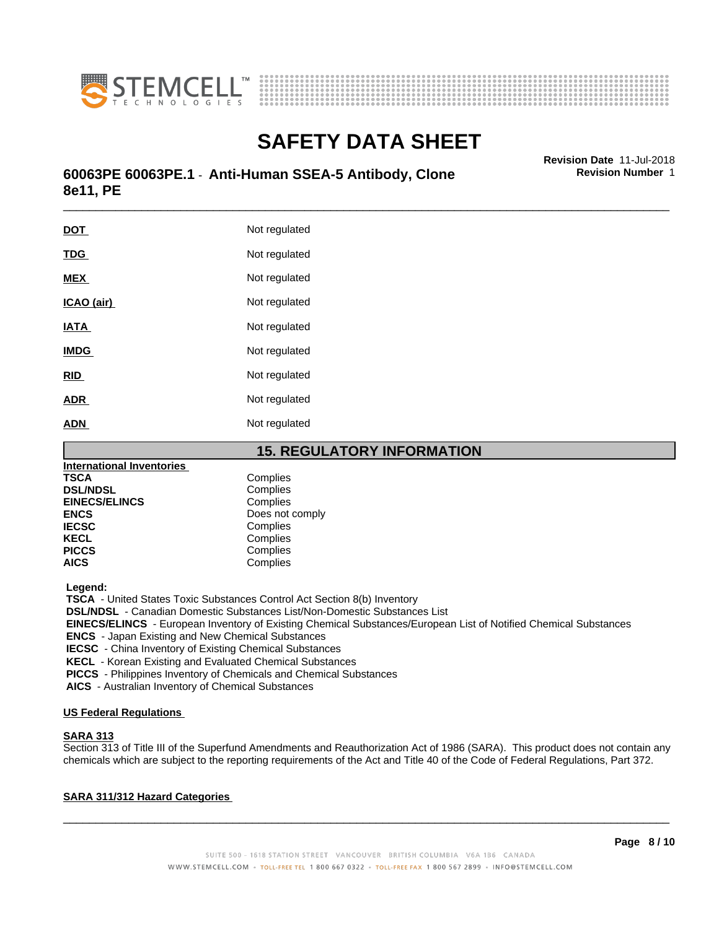



# \_\_\_\_\_\_\_\_\_\_\_\_\_\_\_\_\_\_\_\_\_\_\_\_\_\_\_\_\_\_\_\_\_\_\_\_\_\_\_\_\_\_\_\_\_\_\_\_\_\_\_\_\_\_\_\_\_\_\_\_\_\_\_\_\_\_\_\_\_\_\_\_\_\_\_\_\_\_\_\_\_\_\_\_\_\_\_\_\_\_\_\_\_ **Revision Date** 11-Jul-2018 **60063PE 60063PE.1** - **Anti-Human SSEA-5 Antibody, Clone 8e11, PE**

| <u>DOT</u>  | Not regulated |
|-------------|---------------|
| <b>TDG</b>  | Not regulated |
| <b>MEX</b>  | Not regulated |
| ICAO (air)  | Not regulated |
| <b>IATA</b> | Not regulated |
| <b>IMDG</b> | Not regulated |
| <b>RID</b>  | Not regulated |
| <b>ADR</b>  | Not regulated |
| <b>ADN</b>  | Not regulated |
|             |               |

**15. REGULATORY INFORMATION**

| <b>International Inventories</b> |                 |
|----------------------------------|-----------------|
| <b>TSCA</b>                      | Complies        |
| <b>DSL/NDSL</b>                  | Complies        |
| <b>EINECS/ELINCS</b>             | Complies        |
| <b>ENCS</b>                      | Does not comply |
| <b>IECSC</b>                     | Complies        |
| <b>KECL</b>                      | Complies        |
| <b>PICCS</b>                     | Complies        |
| <b>AICS</b>                      | Complies        |

 **Legend:**

 **TSCA** - United States Toxic Substances Control Act Section 8(b) Inventory

 **DSL/NDSL** - Canadian Domestic Substances List/Non-Domestic Substances List

 **EINECS/ELINCS** - European Inventory of Existing Chemical Substances/European List of Notified Chemical Substances

 **ENCS** - Japan Existing and New Chemical Substances

 **IECSC** - China Inventory of Existing Chemical Substances

 **KECL** - Korean Existing and Evaluated Chemical Substances

 **PICCS** - Philippines Inventory of Chemicals and Chemical Substances

 **AICS** - Australian Inventory of Chemical Substances

#### **US Federal Regulations**

### **SARA 313**

Section 313 of Title III of the Superfund Amendments and Reauthorization Act of 1986 (SARA). This product does not contain any chemicals which are subject to the reporting requirements of the Act and Title 40 of the Code of Federal Regulations, Part 372.

### **SARA 311/312 Hazard Categories**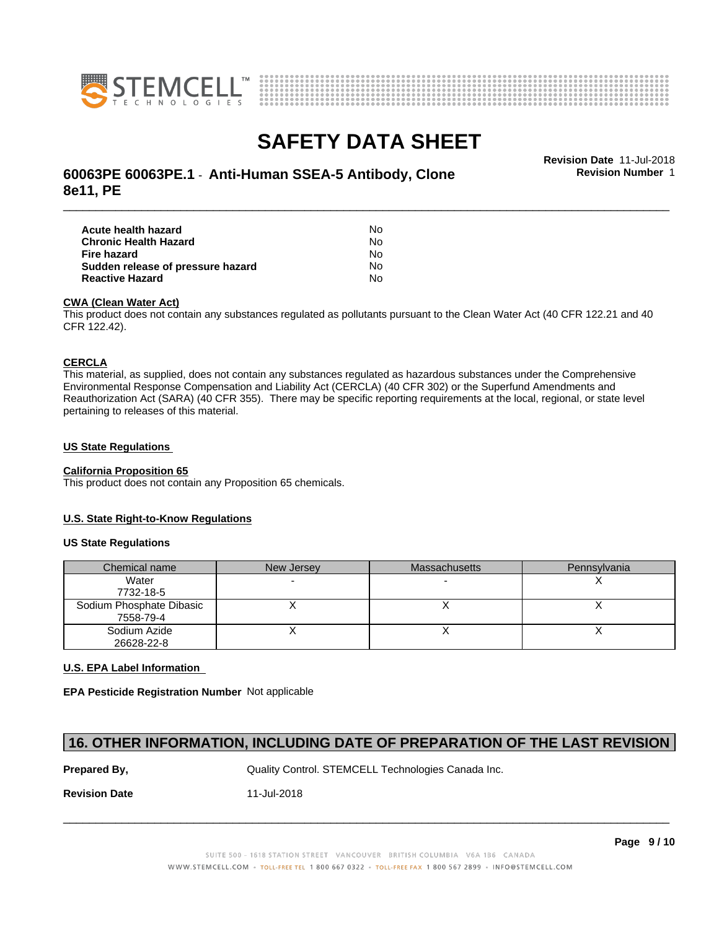



# **SAFETY DATA SHEET**<br>Revision Date 11-Jul-2018

# \_\_\_\_\_\_\_\_\_\_\_\_\_\_\_\_\_\_\_\_\_\_\_\_\_\_\_\_\_\_\_\_\_\_\_\_\_\_\_\_\_\_\_\_\_\_\_\_\_\_\_\_\_\_\_\_\_\_\_\_\_\_\_\_\_\_\_\_\_\_\_\_\_\_\_\_\_\_\_\_\_\_\_\_\_\_\_\_\_\_\_\_\_ **Revision Date** 11-Jul-2018 **60063PE 60063PE.1** - **Anti-Human SSEA-5 Antibody, Clone 8e11, PE**

**Revision Number** 1

| Acute health hazard               | No. |  |
|-----------------------------------|-----|--|
| Chronic Health Hazard             | No. |  |
| Fire hazard                       | No. |  |
| Sudden release of pressure hazard | No. |  |
| <b>Reactive Hazard</b>            | N٥  |  |

#### **CWA (Clean WaterAct)**

This product does not contain any substances regulated as pollutants pursuant to the Clean Water Act (40 CFR 122.21 and 40 CFR 122.42).

#### **CERCLA**

This material, as supplied, does not contain any substances regulated as hazardous substances under the Comprehensive Environmental Response Compensation and Liability Act (CERCLA) (40 CFR 302) or the Superfund Amendments and Reauthorization Act (SARA) (40 CFR 355). There may be specific reporting requirements at the local, regional, or state level pertaining to releases of this material.

#### **US State Regulations**

### **California Proposition 65**

This product does not contain any Proposition 65 chemicals.

### **U.S. State Right-to-Know Regulations**

#### **US State Regulations**

| Chemical name            | New Jersey | <b>Massachusetts</b> | Pennsylvania |
|--------------------------|------------|----------------------|--------------|
| Water                    |            |                      |              |
| 7732-18-5                |            |                      |              |
| Sodium Phosphate Dibasic |            |                      |              |
| 7558-79-4                |            |                      |              |
| Sodium Azide             |            |                      |              |
| 26628-22-8               |            |                      |              |

### **U.S. EPA Label Information**

**EPA Pesticide Registration Number** Notapplicable

## **16. OTHER INFORMATION, INCLUDING DATE OF PREPARATION OF THE LAST REVISION**

**Prepared By, State Control. STEMCELL Technologies Canada Inc.** Canada Inc.

**Revision Date** 11-Jul-2018